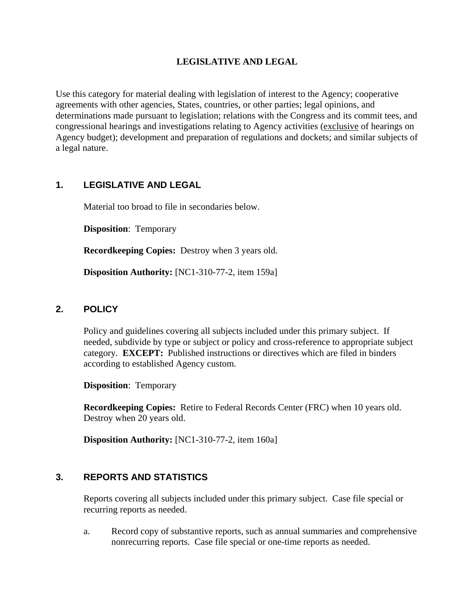## **LEGISLATIVE AND LEGAL**

Use this category for material dealing with legislation of interest to the Agency; cooperative agreements with other agencies, States, countries, or other parties; legal opinions, and determinations made pursuant to legislation; relations with the Congress and its commit tees, and congressional hearings and investigations relating to Agency activities (exclusive of hearings on Agency budget); development and preparation of regulations and dockets; and similar subjects of a legal nature.

# **1. LEGISLATIVE AND LEGAL**

Material too broad to file in secondaries below.

**Disposition**: Temporary

**Recordkeeping Copies:** Destroy when 3 years old.

**Disposition Authority:** [NC1-310-77-2, item 159a]

## **2. POLICY**

Policy and guidelines covering all subjects included under this primary subject. If needed, subdivide by type or subject or policy and cross-reference to appropriate subject category. **EXCEPT:** Published instructions or directives which are filed in binders according to established Agency custom.

**Disposition**: Temporary

**Recordkeeping Copies:** Retire to Federal Records Center (FRC) when 10 years old. Destroy when 20 years old.

**Disposition Authority:** [NC1-310-77-2, item 160a]

### **3. REPORTS AND STATISTICS**

Reports covering all subjects included under this primary subject. Case file special or recurring reports as needed.

a. Record copy of substantive reports, such as annual summaries and comprehensive nonrecurring reports. Case file special or one-time reports as needed.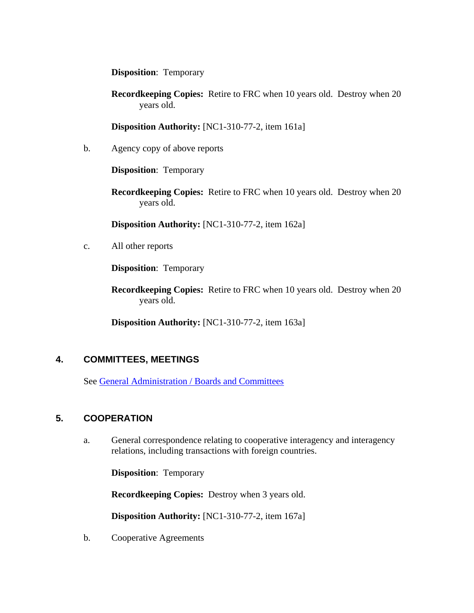**Disposition**: Temporary

**Recordkeeping Copies:** Retire to FRC when 10 years old. Destroy when 20 years old.

**Disposition Authority:** [NC1-310-77-2, item 161a]

b. Agency copy of above reports

**Disposition**: Temporary

**Recordkeeping Copies:** Retire to FRC when 10 years old. Destroy when 20 years old.

**Disposition Authority:** [NC1-310-77-2, item 162a]

c. All other reports

**Disposition**: Temporary

**Recordkeeping Copies:** Retire to FRC when 10 years old. Destroy when 20 years old.

**Disposition Authority:** [NC1-310-77-2, item 163a]

### **4. COMMITTEES, MEETINGS**

See General Administration / Boards and Committees

### **5. COOPERATION**

a. General correspondence relating to cooperative interagency and interagency relations, including transactions with foreign countries.

**Disposition**: Temporary

**Recordkeeping Copies:** Destroy when 3 years old.

**Disposition Authority:** [NC1-310-77-2, item 167a]

b. Cooperative Agreements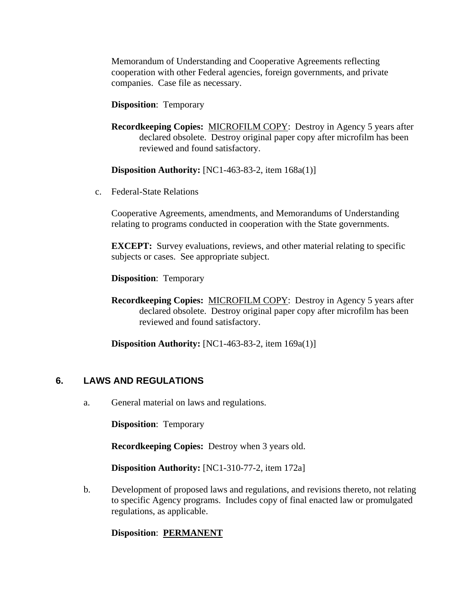Memorandum of Understanding and Cooperative Agreements reflecting cooperation with other Federal agencies, foreign governments, and private companies. Case file as necessary.

#### **Disposition**: Temporary

**Recordkeeping Copies:** MICROFILM COPY: Destroy in Agency 5 years after declared obsolete. Destroy original paper copy after microfilm has been reviewed and found satisfactory.

**Disposition Authority:** [NC1-463-83-2, item 168a(1)]

c. Federal-State Relations

Cooperative Agreements, amendments, and Memorandums of Understanding relating to programs conducted in cooperation with the State governments.

**EXCEPT:** Survey evaluations, reviews, and other material relating to specific subjects or cases. See appropriate subject.

**Disposition**: Temporary

**Recordkeeping Copies:** MICROFILM COPY: Destroy in Agency 5 years after declared obsolete. Destroy original paper copy after microfilm has been reviewed and found satisfactory.

**Disposition Authority:** [NC1-463-83-2, item 169a(1)]

### **6. LAWS AND REGULATIONS**

a. General material on laws and regulations.

**Disposition**: Temporary

**Recordkeeping Copies:** Destroy when 3 years old.

**Disposition Authority:** [NC1-310-77-2, item 172a]

b. Development of proposed laws and regulations, and revisions thereto, not relating to specific Agency programs. Includes copy of final enacted law or promulgated regulations, as applicable.

### **Disposition**: **PERMANENT**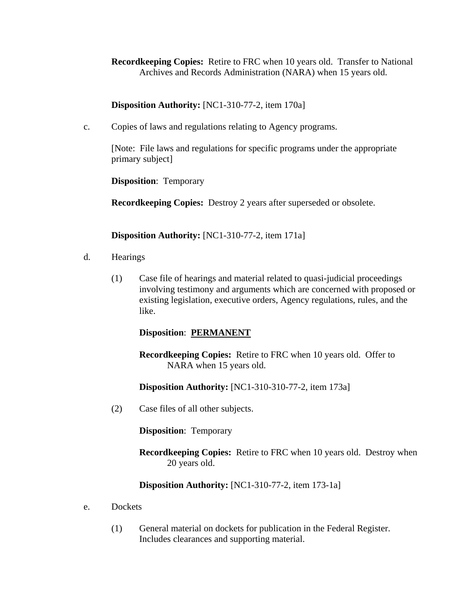**Recordkeeping Copies:** Retire to FRC when 10 years old. Transfer to National Archives and Records Administration (NARA) when 15 years old.

**Disposition Authority:** [NC1-310-77-2, item 170a]

c. Copies of laws and regulations relating to Agency programs.

[Note: File laws and regulations for specific programs under the appropriate primary subject]

**Disposition**: Temporary

**Recordkeeping Copies:** Destroy 2 years after superseded or obsolete.

**Disposition Authority:** [NC1-310-77-2, item 171a]

- d. Hearings
	- (1) Case file of hearings and material related to quasi-judicial proceedings involving testimony and arguments which are concerned with proposed or existing legislation, executive orders, Agency regulations, rules, and the like.

**Disposition**: **PERMANENT**

**Recordkeeping Copies:** Retire to FRC when 10 years old. Offer to NARA when 15 years old.

**Disposition Authority:** [NC1-310-310-77-2, item 173a]

(2) Case files of all other subjects.

**Disposition**: Temporary

**Recordkeeping Copies:** Retire to FRC when 10 years old. Destroy when 20 years old.

**Disposition Authority:** [NC1-310-77-2, item 173-1a]

- e. Dockets
	- (1) General material on dockets for publication in the Federal Register. Includes clearances and supporting material.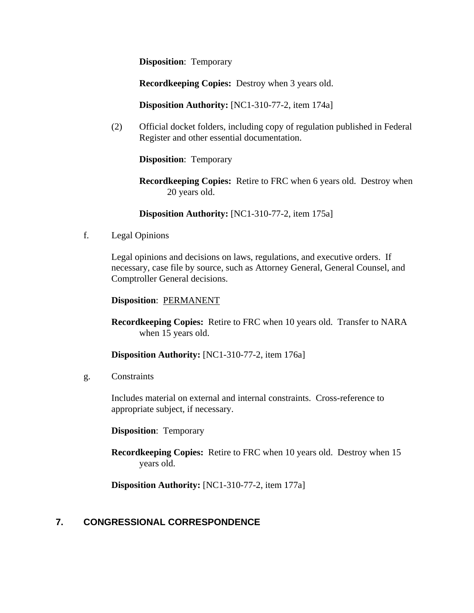**Disposition**: Temporary

**Recordkeeping Copies:** Destroy when 3 years old.

**Disposition Authority:** [NC1-310-77-2, item 174a]

(2) Official docket folders, including copy of regulation published in Federal Register and other essential documentation.

**Disposition**: Temporary

**Recordkeeping Copies:** Retire to FRC when 6 years old. Destroy when 20 years old.

**Disposition Authority:** [NC1-310-77-2, item 175a]

f. Legal Opinions

Legal opinions and decisions on laws, regulations, and executive orders. If necessary, case file by source, such as Attorney General, General Counsel, and Comptroller General decisions.

#### **Disposition**: PERMANENT

**Recordkeeping Copies:** Retire to FRC when 10 years old. Transfer to NARA when 15 years old.

**Disposition Authority:** [NC1-310-77-2, item 176a]

g. Constraints

Includes material on external and internal constraints. Cross-reference to appropriate subject, if necessary.

**Disposition**: Temporary

**Recordkeeping Copies:** Retire to FRC when 10 years old. Destroy when 15 years old.

**Disposition Authority:** [NC1-310-77-2, item 177a]

### **7. CONGRESSIONAL CORRESPONDENCE**